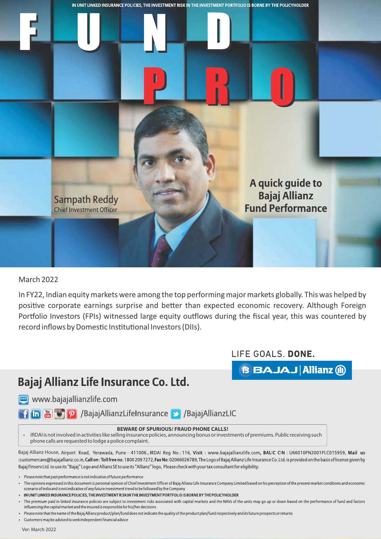

## March 2022

In FY22, Indian equity markets were among the top performing major markets globally. This was helped by positive corporate earnings surprise and better than expected economic recovery. Although Foreign Portfolio Investors (FPIs) witnessed large equity outflows during the fiscal year, this was countered by record inflows by Domestic Institutional Investors (DIIs).

## LIFE GOALS. DONE.

**BBAJAJ Allianz (ii)** 

## Bajaj Allianz Life Insurance Co. Ltd.

www.bajajallianzlife.com

**Thin Figure 10 P** /BajajAllianzLifeInsurance **>** /BajajAllianzLIC

## **BEWARE OF SPURIOUS/ FRAUD PHONE CALLS!**

 IRDAI is not involved in activities like selling insurance policies, announcing bonus or investments of premiums. Public receiving such phone calls are requested to lodge a police complaint.

Bajaj Allianz House, Airport Road, Yerawada, Pune - 411006., IRDAI Reg No.: 116, Visit: www.bajajallianzlife.com, BALIC CIN: U66010PN2001PLC015959, Mail us :customercare@bajajallianz.co.in, Call on: Toll free no. 1800 2097272, Fax No: 02066026789, The Logo of Bajaj Allianz Life Insurance Co. Ltd. is provided on the basis of license given by Bajaj Finsery Ltd. to use its "Bajaj" Logo and Allianz SE to use its "Allianz" logo, Please check with your tax consultant for eligibility.

- Please note that past performance is not indicative of future performance
- The opinions expressed in this document is personal opinion of Chief Investment Officer of Bajaj Allianz Life Insurance Company Limited based on his perception of the present market conditions and economic scenario of India and is not indicative of any future investment trend to be followed by the Company
- IN UNIT LINKED INSURANCE POLICIES, THE INVESTMENT RISK IN THE INVESTMENT PORTFOLIO IS BORNE BY THE POLICYHOLDER

The premium paid in linked insurance policies are subject to investment risks associated with capital markets and the NAVs of the units may go up or down based on the performance of fund and factors influencing the capital market and the insured is responsible for his/her decisions

- Please note that the name of the Bajaj Allianz product/plan/fund does not indicate the quality of the product plan/fund respectively and its future prospects or returns
- Customers may be advised to seek independent financial advice

Ver: March 2022